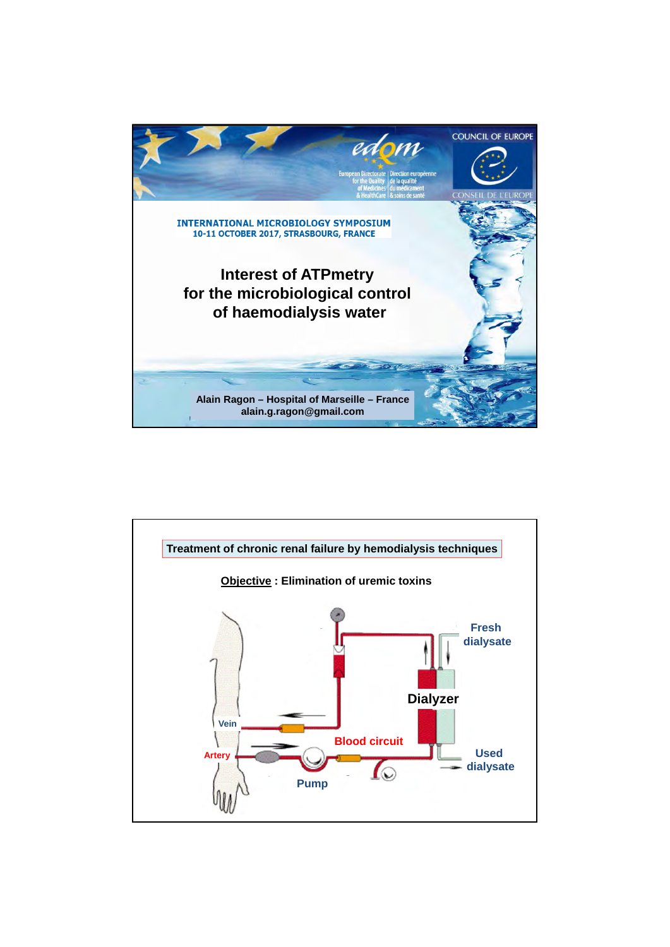

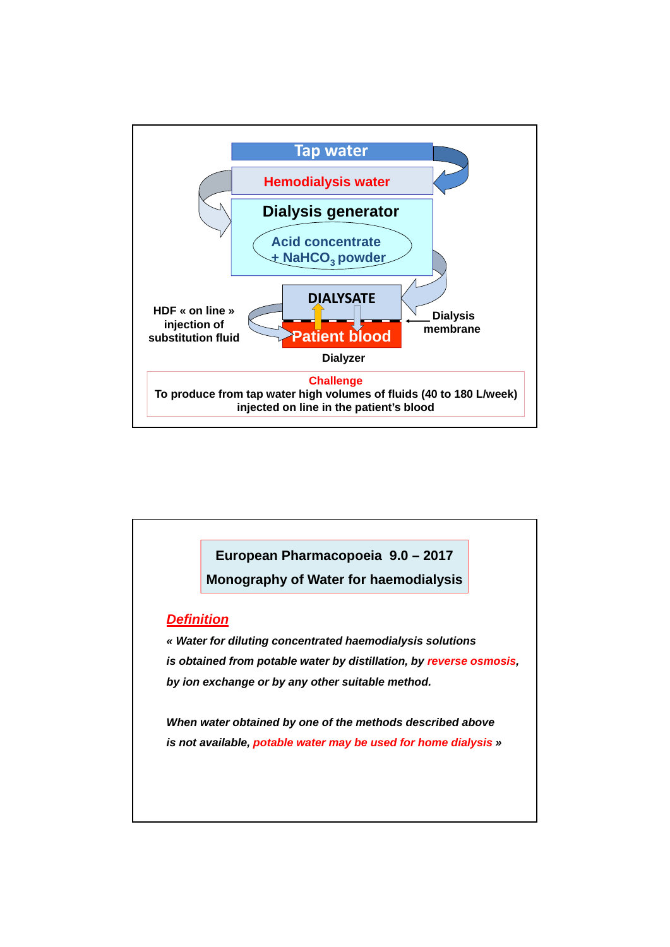

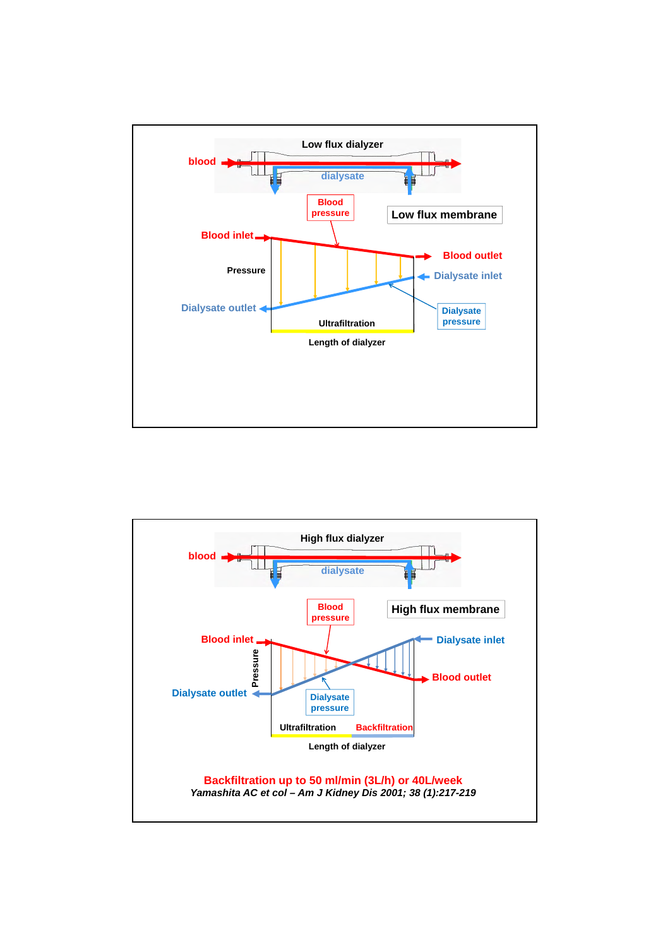

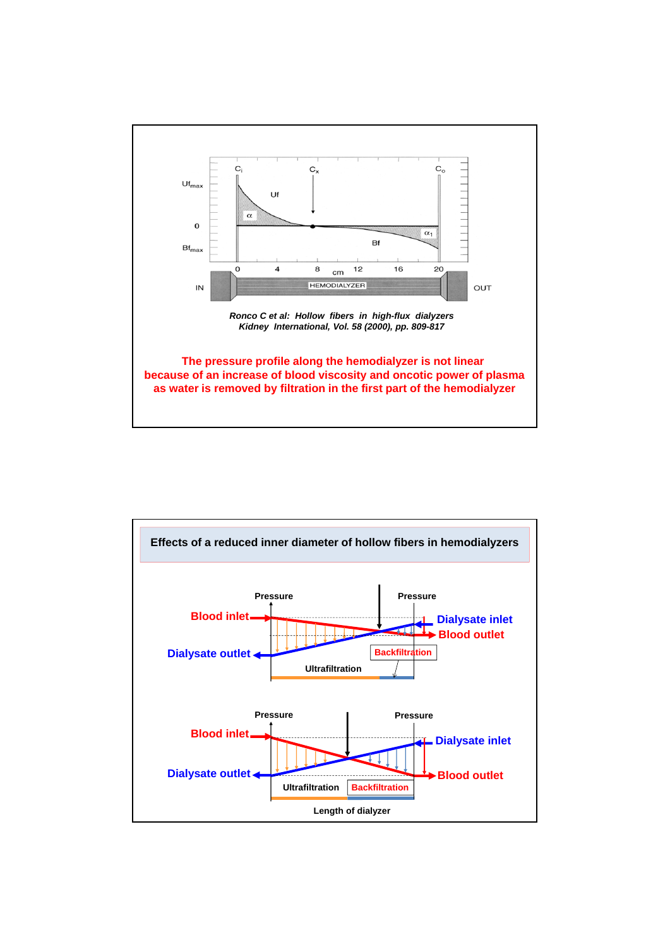

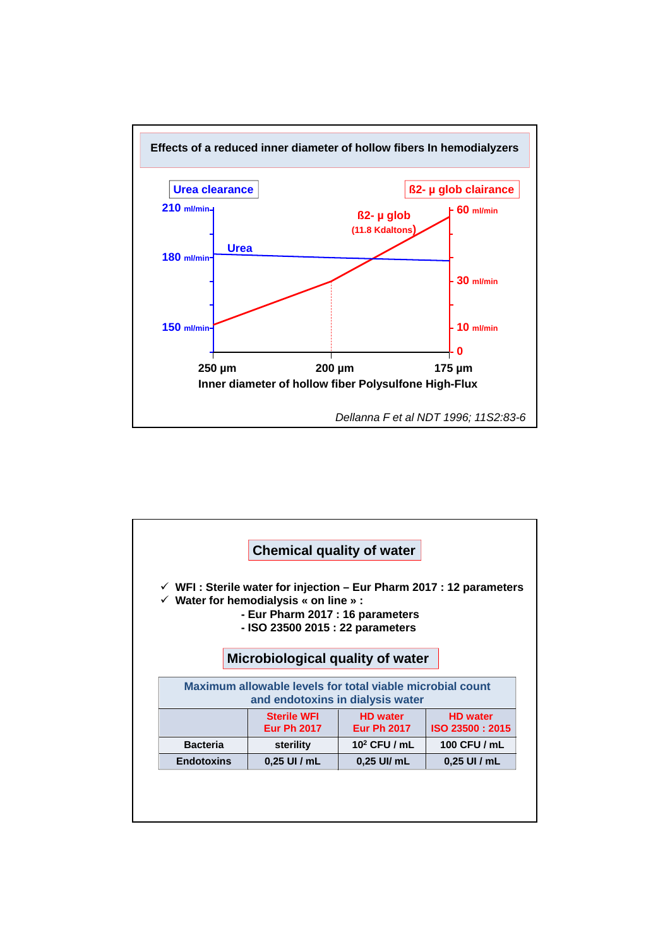

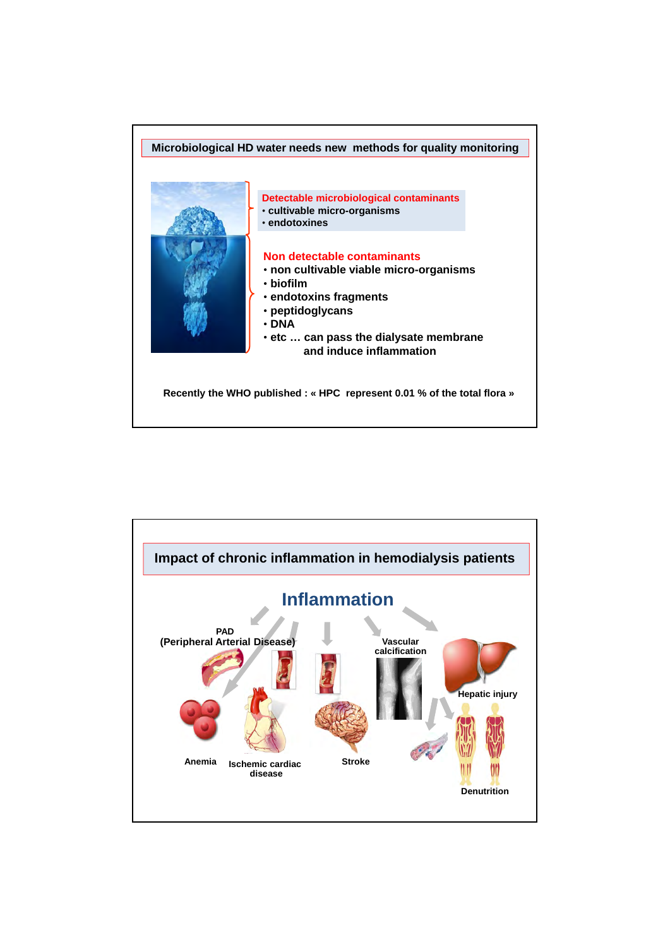

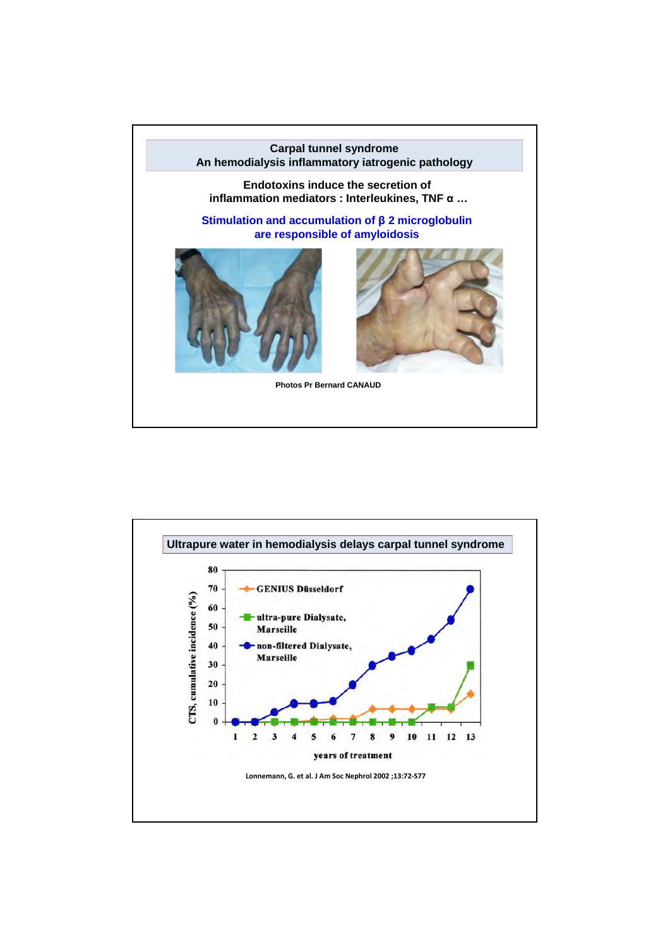

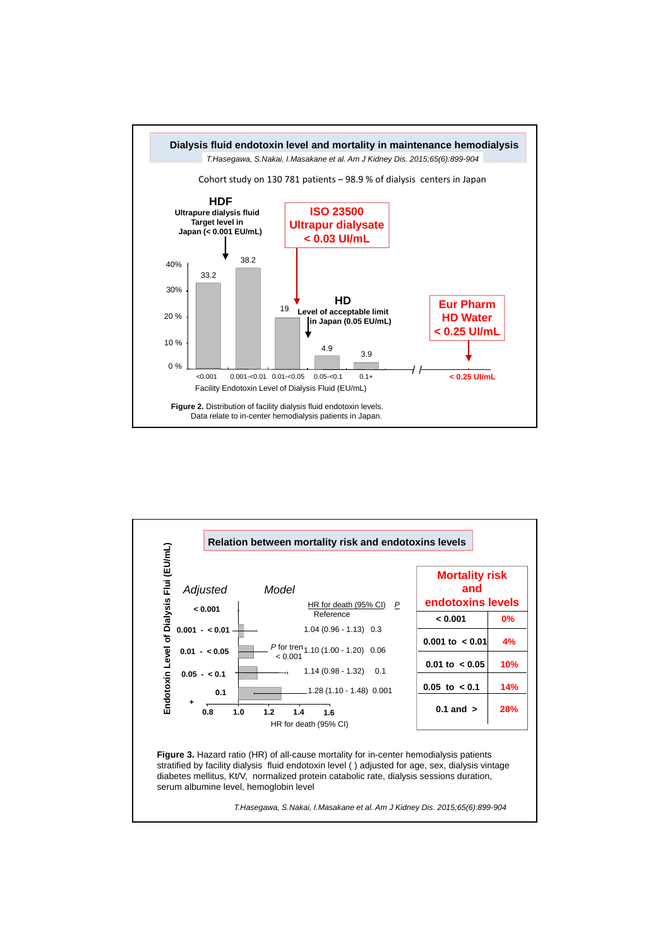

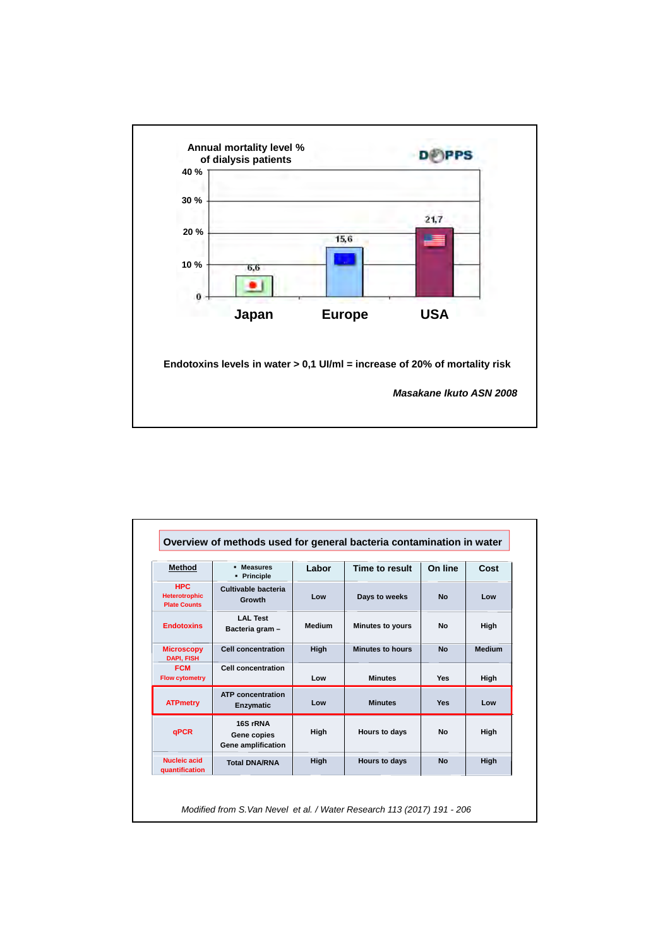

| <b>Method</b>                                             | - Measures<br>• Principle                     | Labor         | Time to result          | On line    | Cost          |
|-----------------------------------------------------------|-----------------------------------------------|---------------|-------------------------|------------|---------------|
| <b>HPC</b><br><b>Heterotrophic</b><br><b>Plate Counts</b> | Cultivable bacteria<br><b>Growth</b>          | Low           | Days to weeks           | <b>No</b>  | Low           |
| <b>Endotoxins</b>                                         | <b>LAL Test</b><br>Bacteria gram -            | <b>Medium</b> | Minutes to yours        | <b>No</b>  | High          |
| <b>Microscopy</b><br><b>DAPI. FISH</b>                    | <b>Cell concentration</b>                     | High          | <b>Minutes to hours</b> | <b>No</b>  | <b>Medium</b> |
| <b>FCM</b><br><b>Flow cytometry</b>                       | <b>Cell concentration</b>                     | Low           | <b>Minutes</b>          | <b>Yes</b> | High          |
| <b>ATPmetry</b>                                           | <b>ATP</b> concentration<br><b>Enzymatic</b>  | Low           | <b>Minutes</b>          | <b>Yes</b> | Low           |
| <b>qPCR</b>                                               | 16S rRNA<br>Gene copies<br>Gene amplification | High          | Hours to days           | <b>No</b>  | High          |
| Nucleic acid<br>quantification                            | <b>Total DNA/RNA</b>                          | High          | Hours to days           | <b>No</b>  | High          |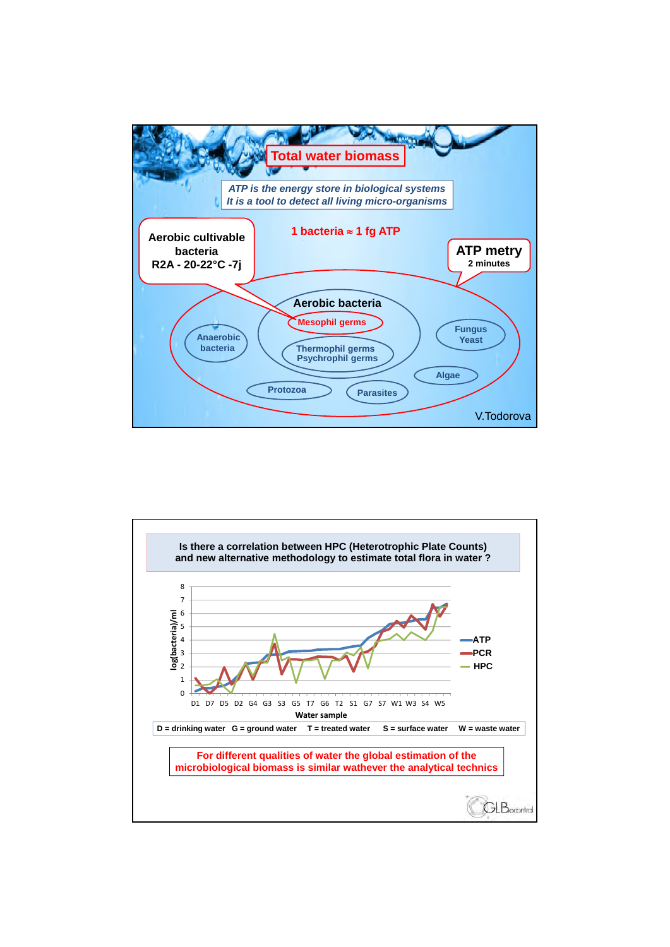

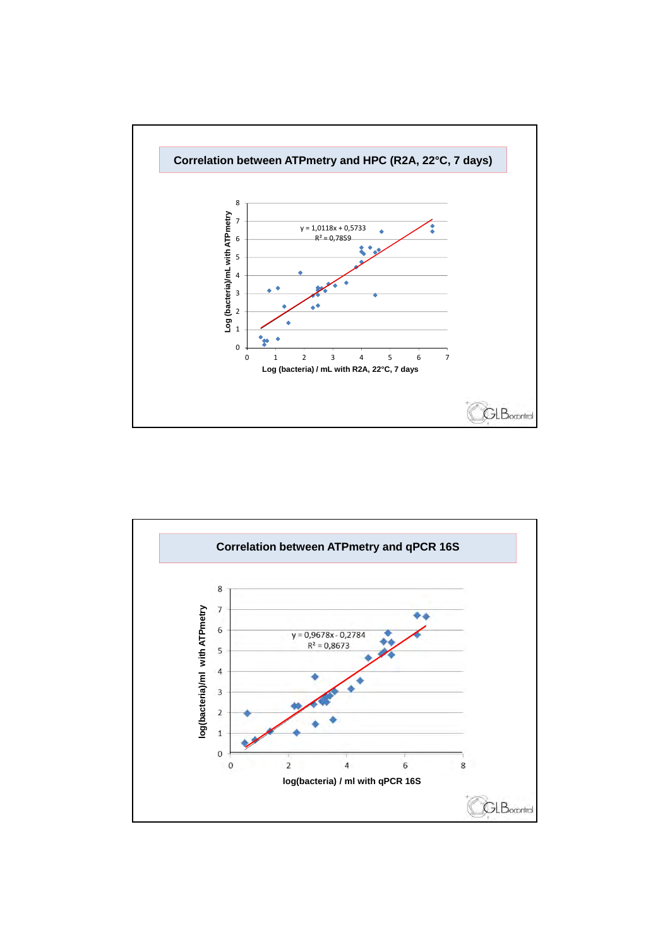

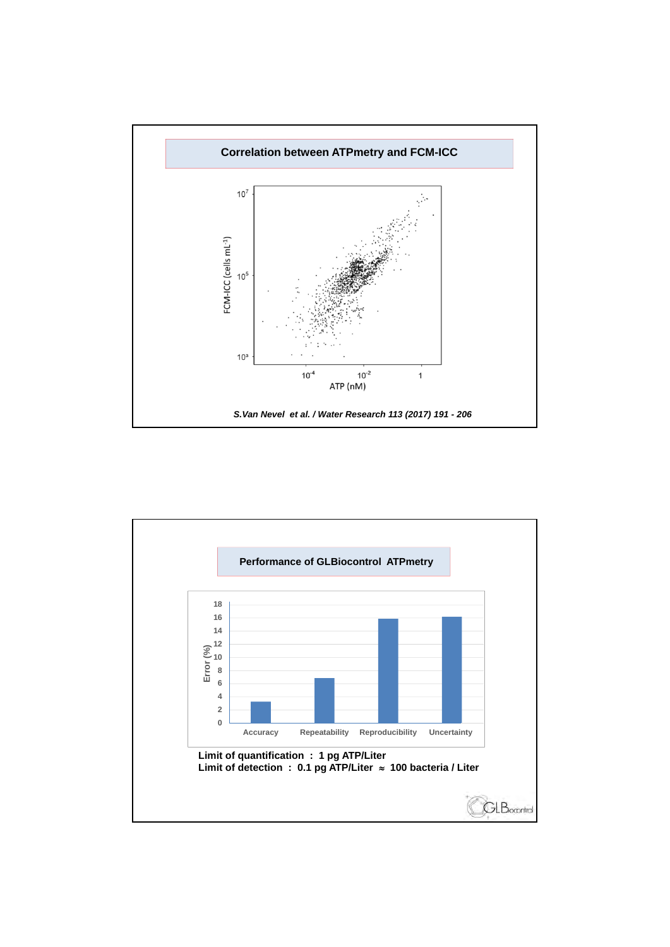

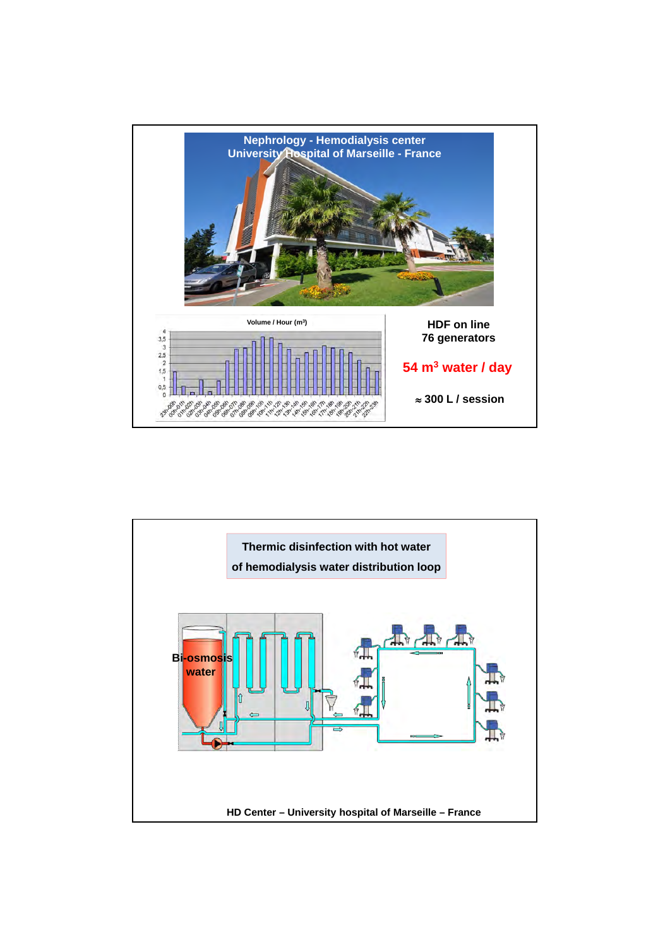

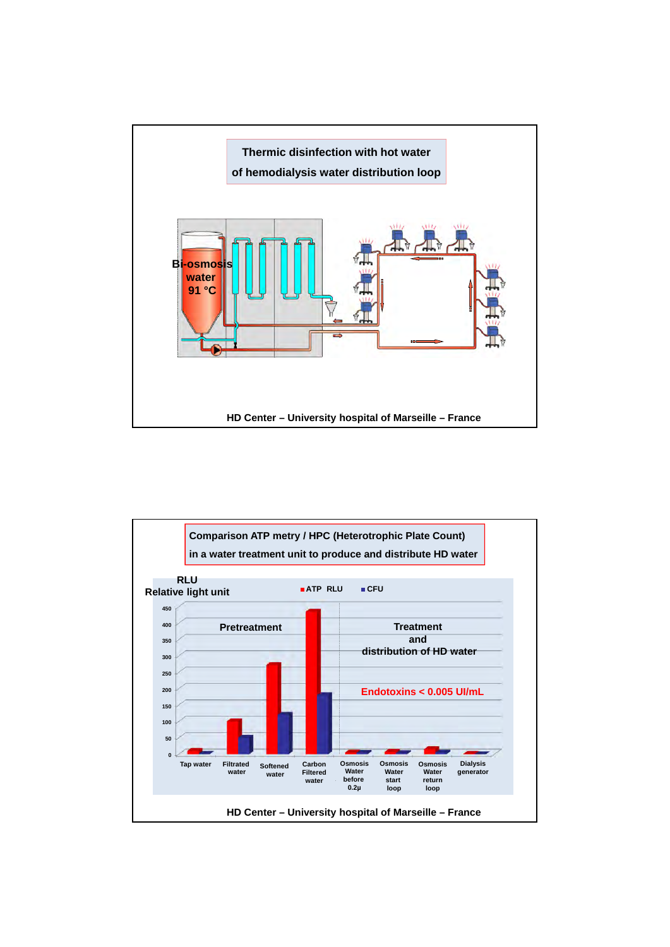

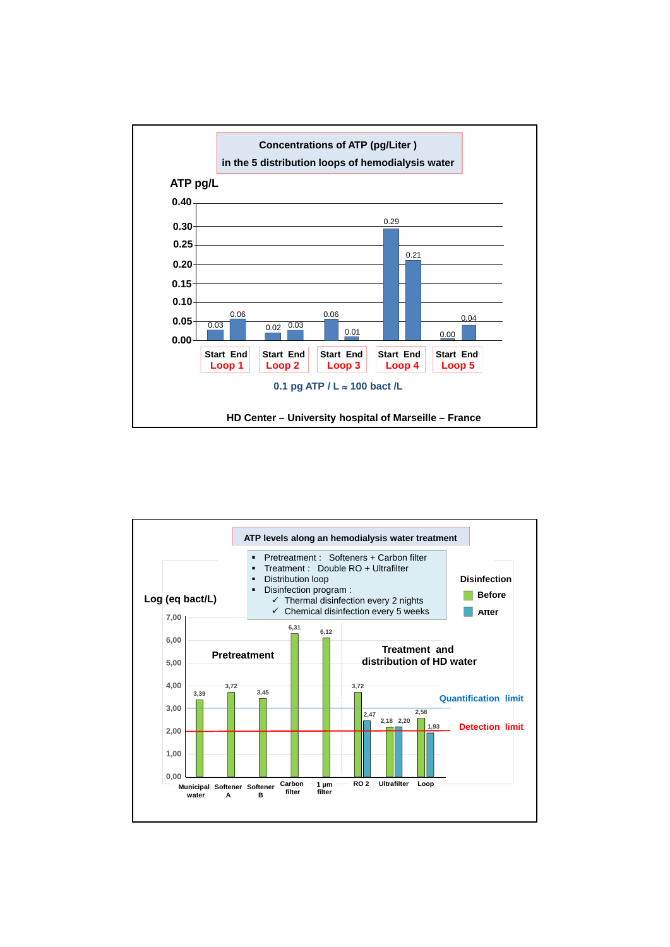

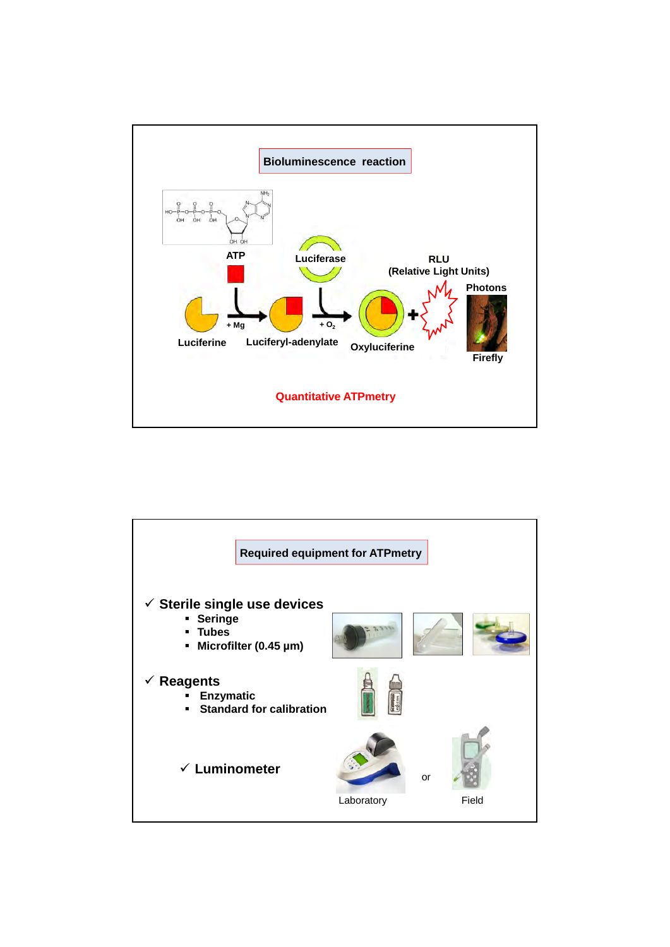

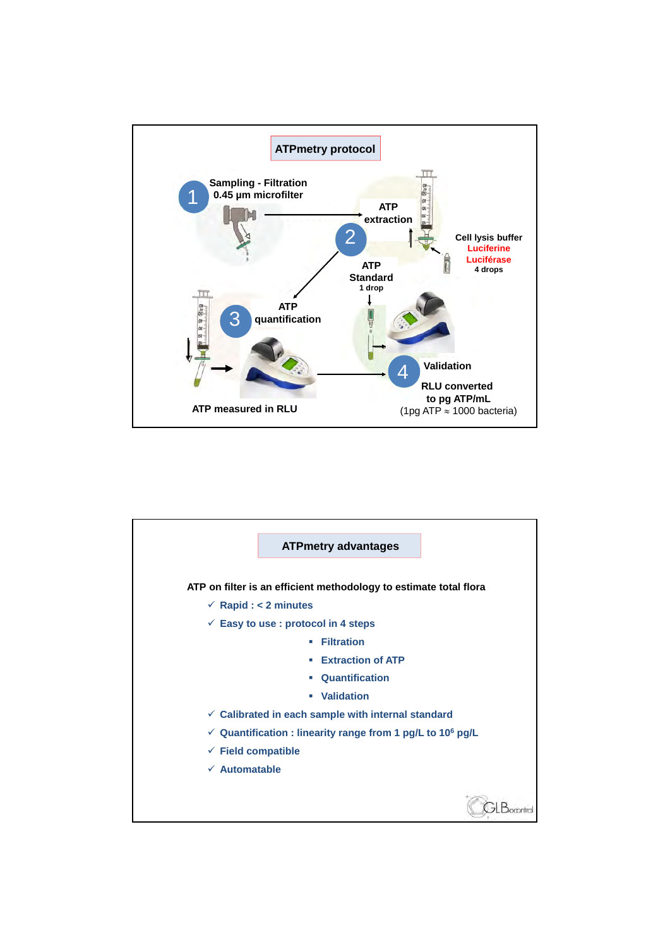

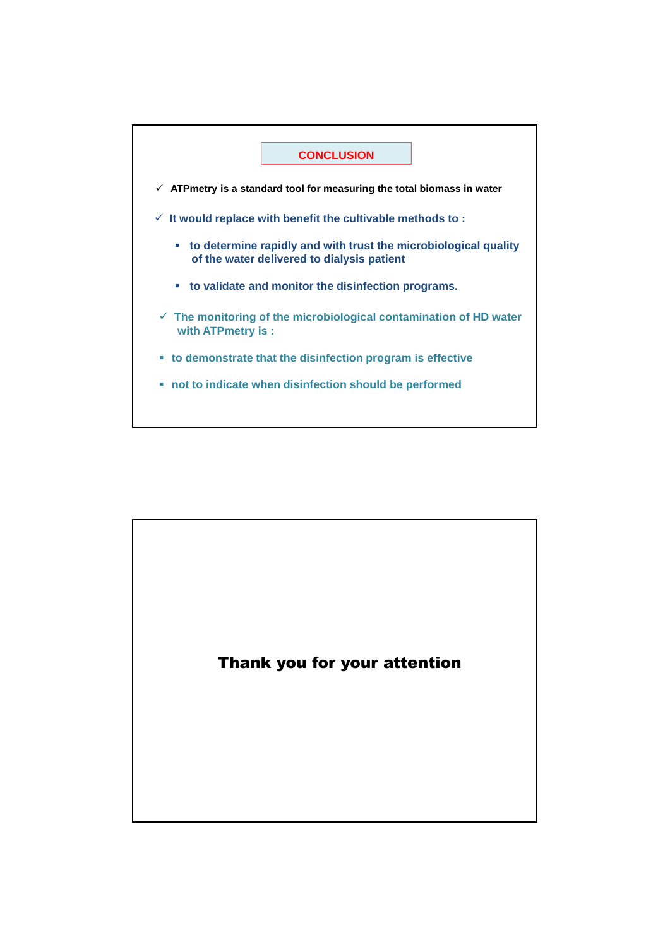

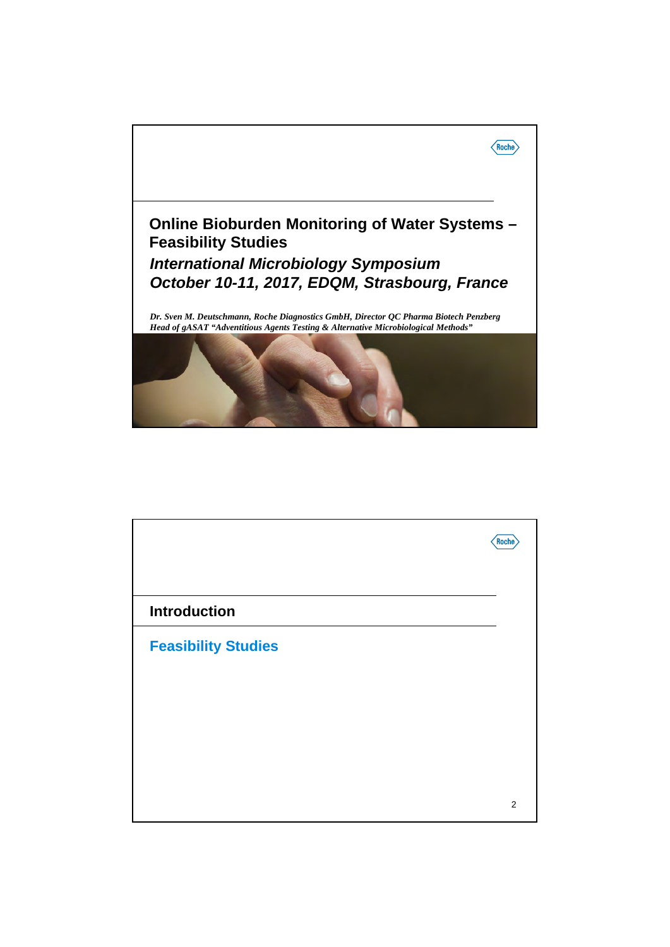

|                            | Roche          |
|----------------------------|----------------|
| <b>Introduction</b>        |                |
| <b>Feasibility Studies</b> |                |
|                            |                |
|                            |                |
|                            | $\overline{2}$ |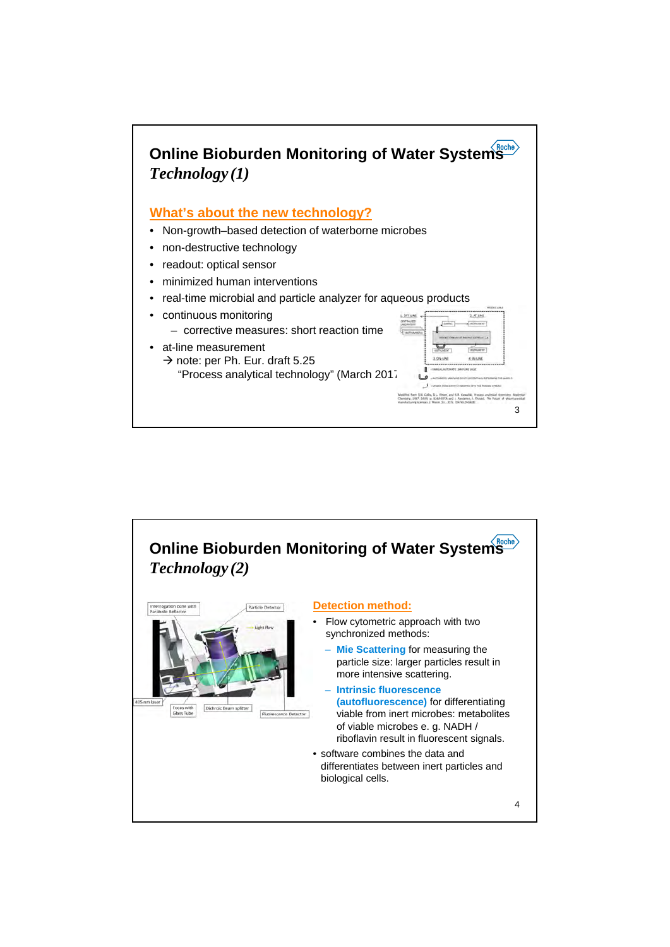

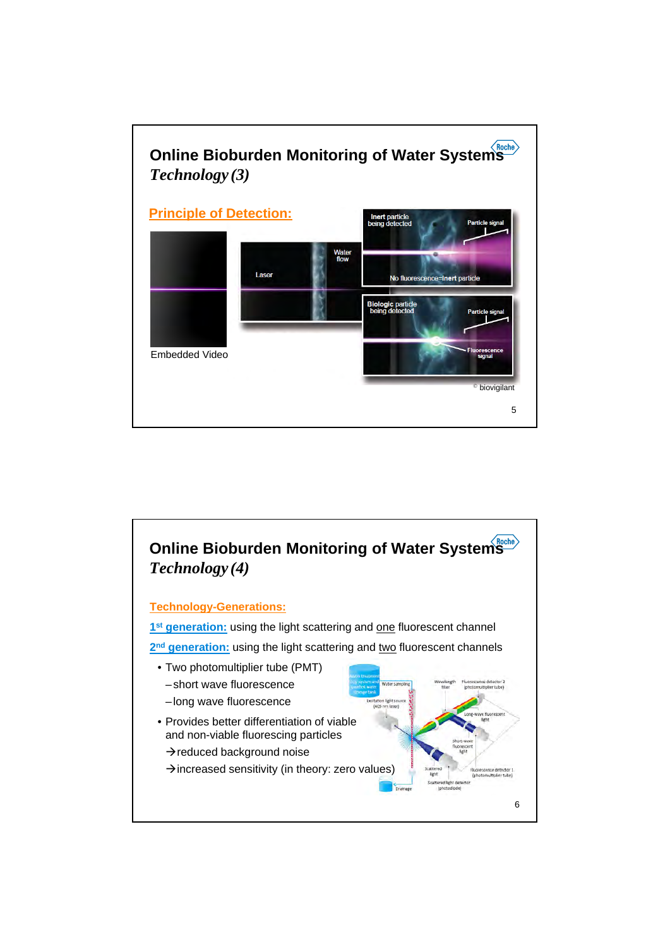

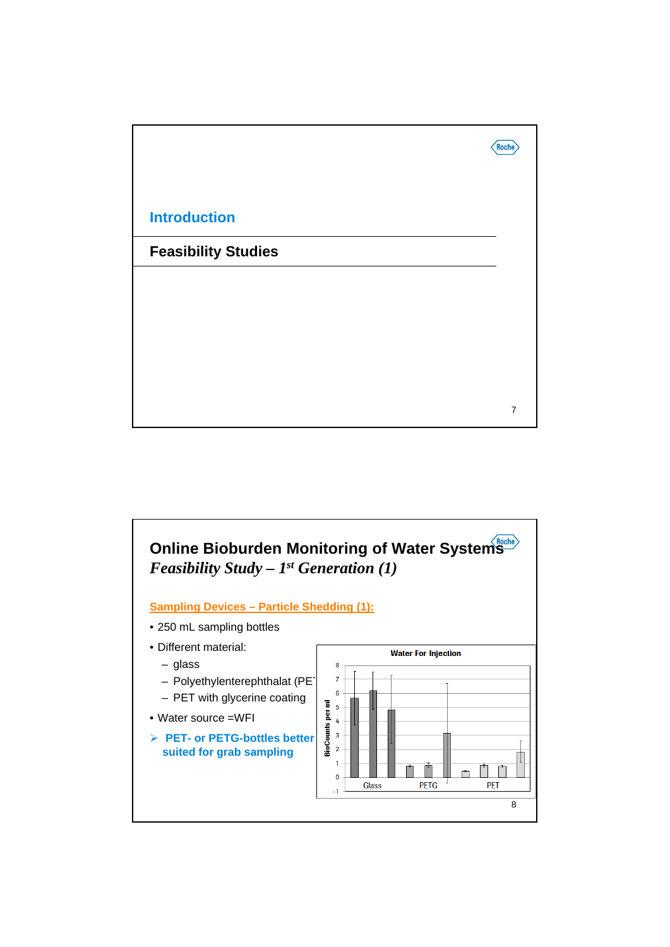

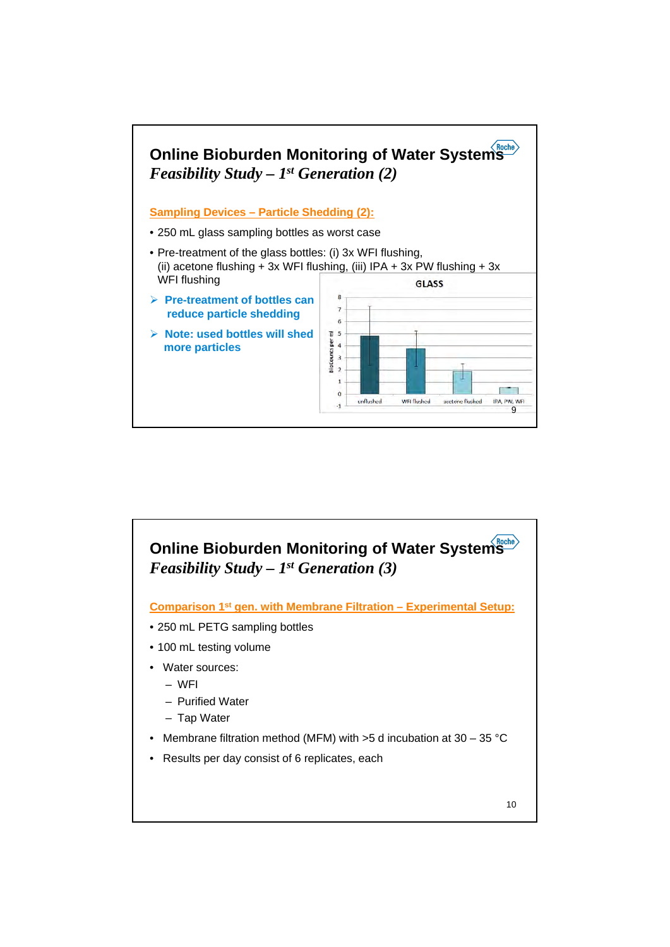

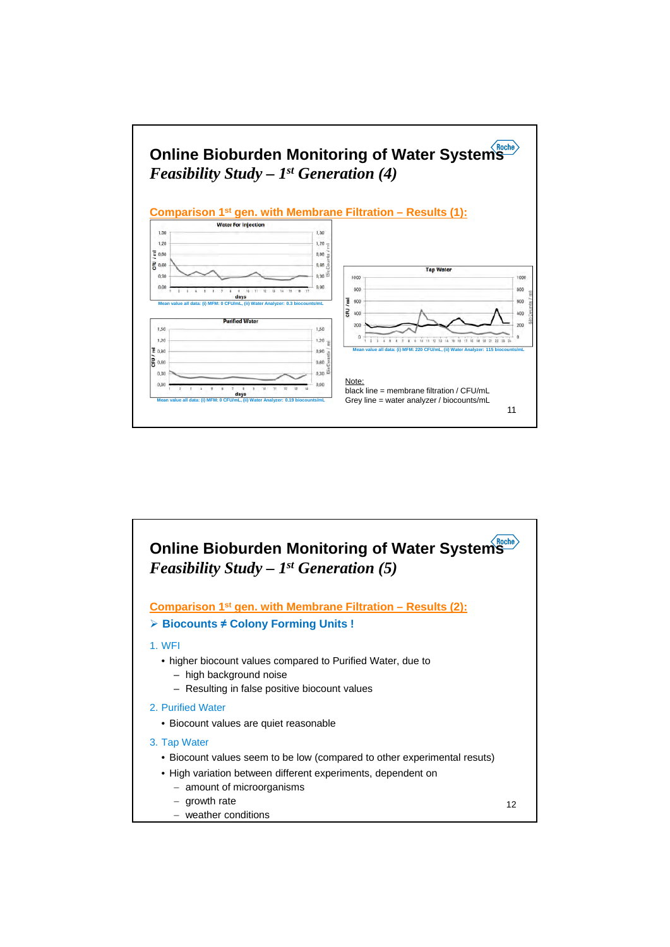

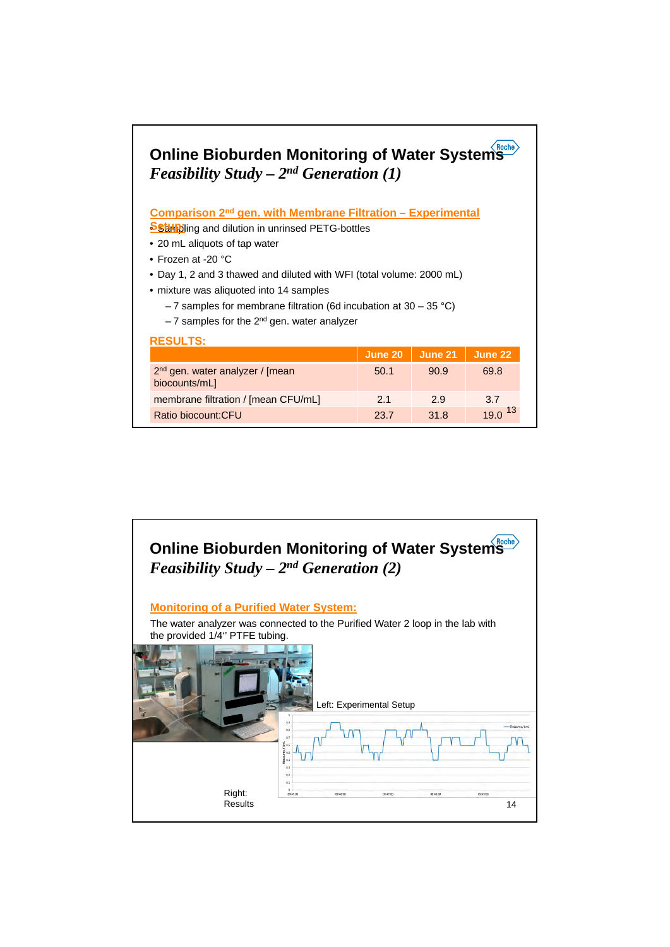## **Online Bioburden Monitoring of Water Systems**  *Feasibility Study – 2nd Generation (1)*

**Comparison 2nd gen. with Membrane Filtration – Experimental** 

**Sstup:** ing and dilution in unrinsed PETG-bottles

- 20 mL aliquots of tap water
- Frozen at -20 °C
- Day 1, 2 and 3 thawed and diluted with WFI (total volume: 2000 mL)
- mixture was aliquoted into 14 samples
	- $-7$  samples for membrane filtration (6d incubation at 30 35 °C)
	- $-7$  samples for the  $2<sup>nd</sup>$  gen. water analyzer

| <b>RESULTS:</b>                                              |         |         |         |  |  |  |
|--------------------------------------------------------------|---------|---------|---------|--|--|--|
|                                                              | June 20 | June 21 | June 22 |  |  |  |
| 2 <sup>nd</sup> gen. water analyzer / [mean<br>biocounts/mL] | 50.1    | 90.9    | 69.8    |  |  |  |
| membrane filtration / [mean CFU/mL]                          | 21      | 29      | 3.7     |  |  |  |
| Ratio biocount:CFU                                           | 23.7    | 31.8    | 19.0    |  |  |  |

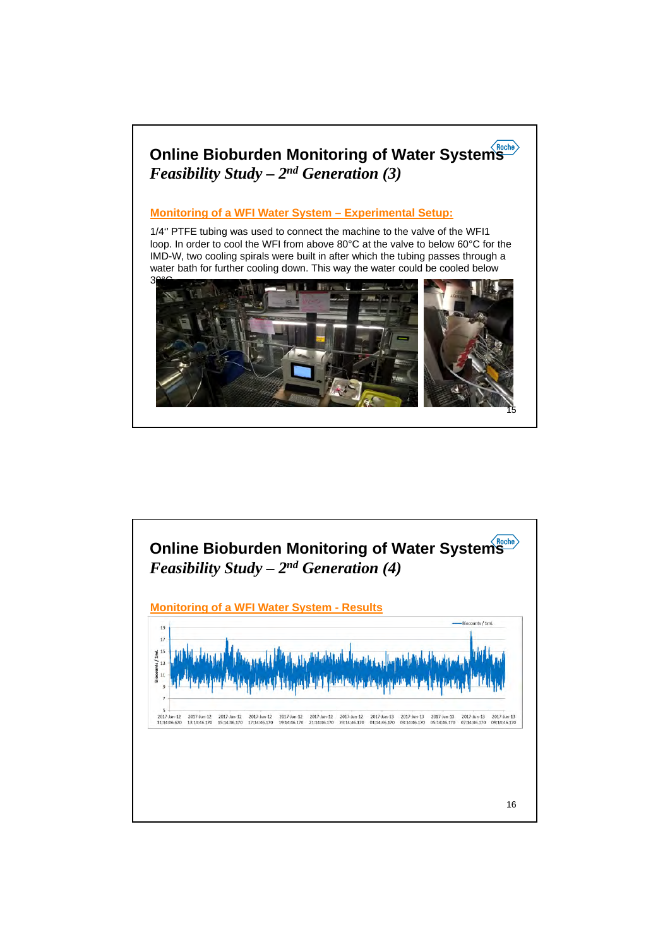

**Monitoring of a WFI Water System – Experimental Setup:**

1/4'' PTFE tubing was used to connect the machine to the valve of the WFI1 loop. In order to cool the WFI from above 80°C at the valve to below 60°C for the IMD-W, two cooling spirals were built in after which the tubing passes through a water bath for further cooling down. This way the water could be cooled below



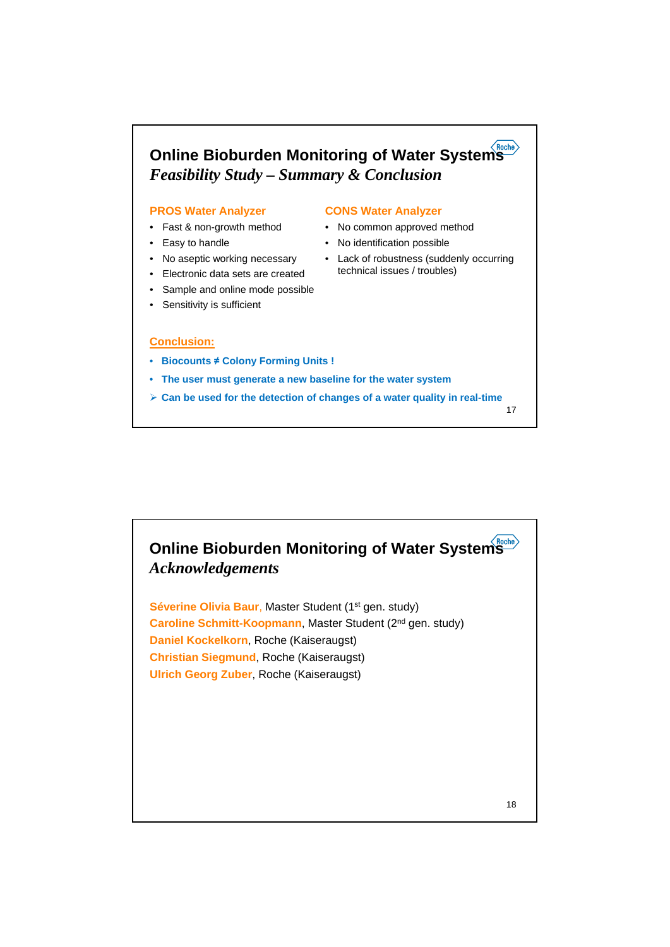

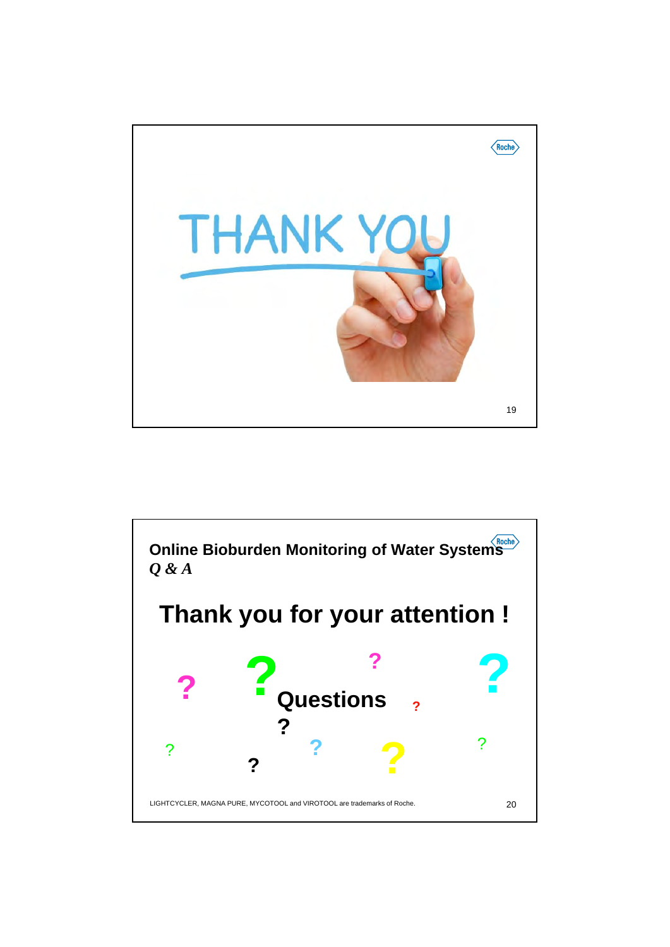

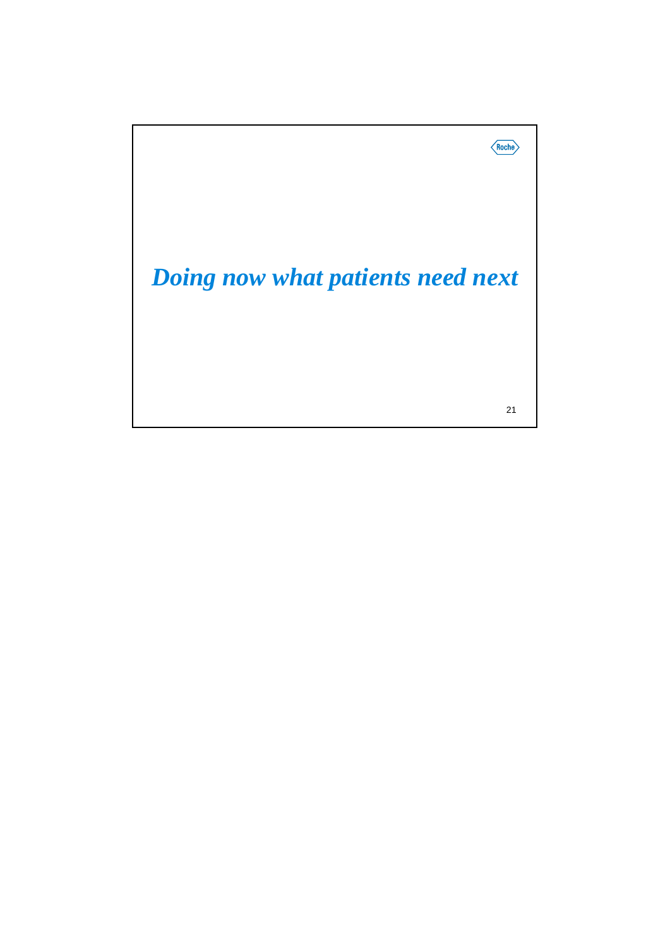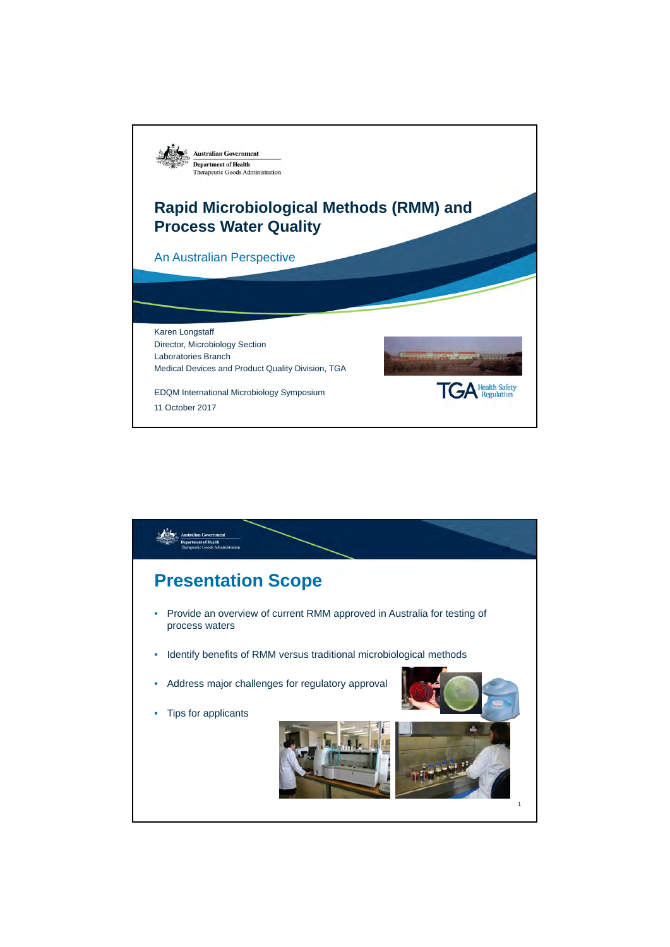

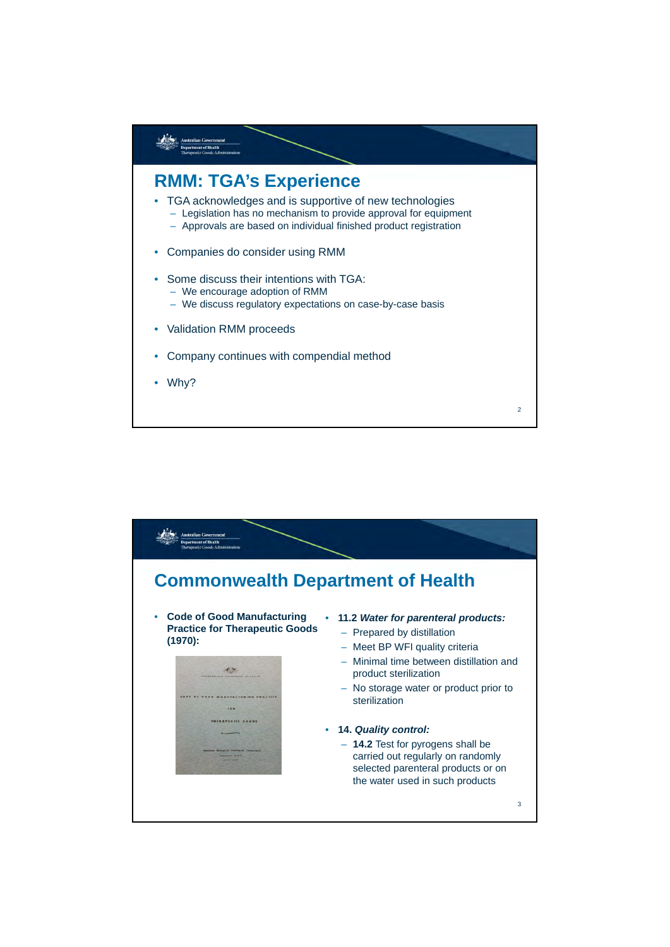

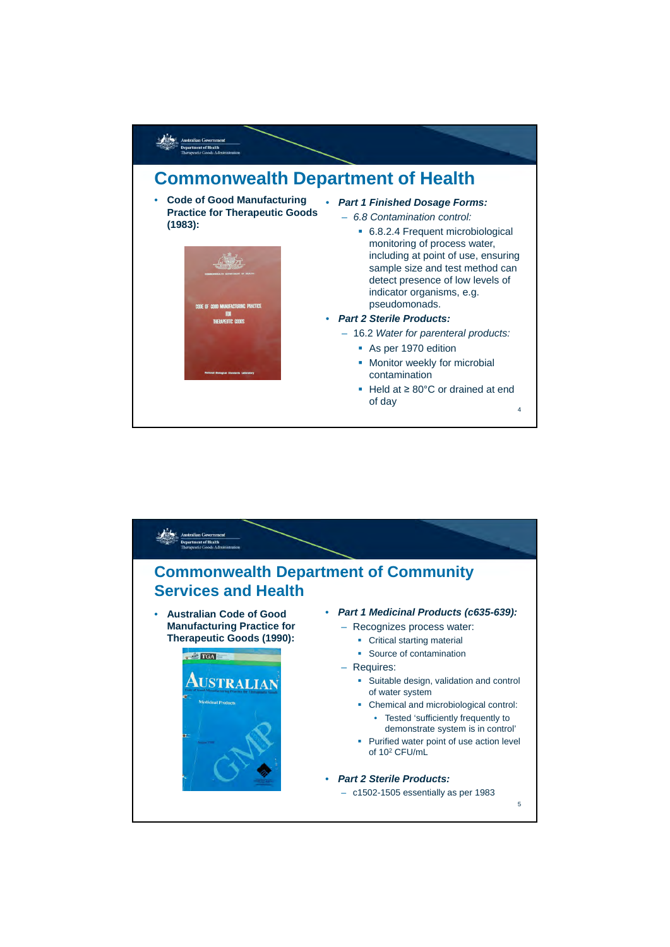

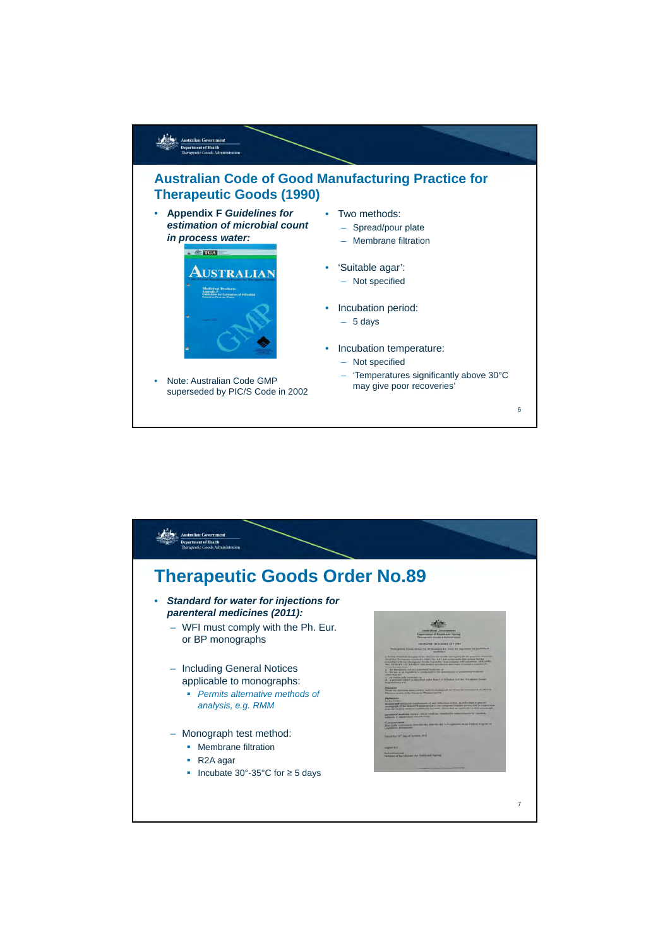

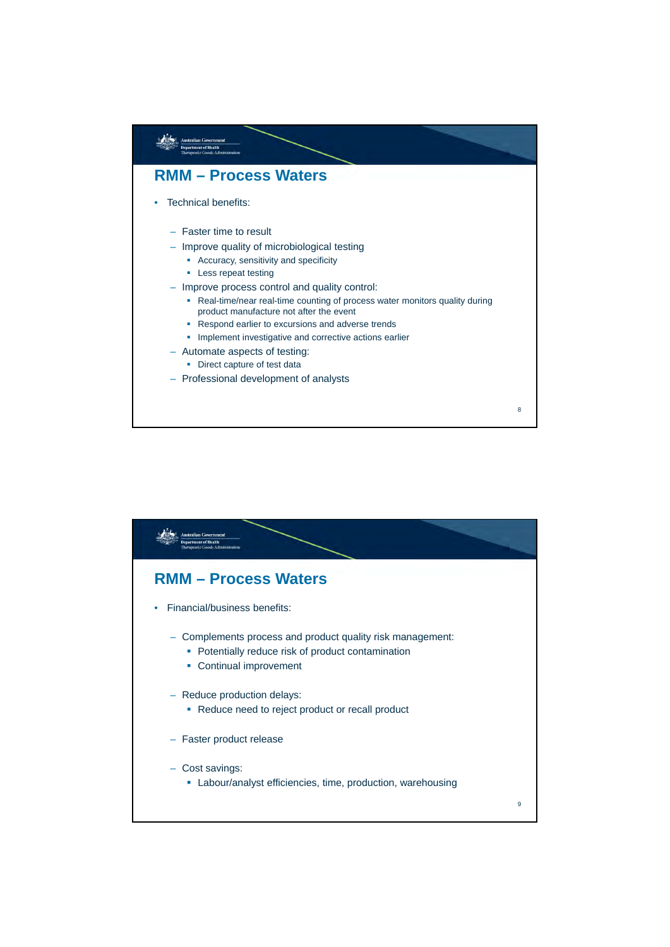

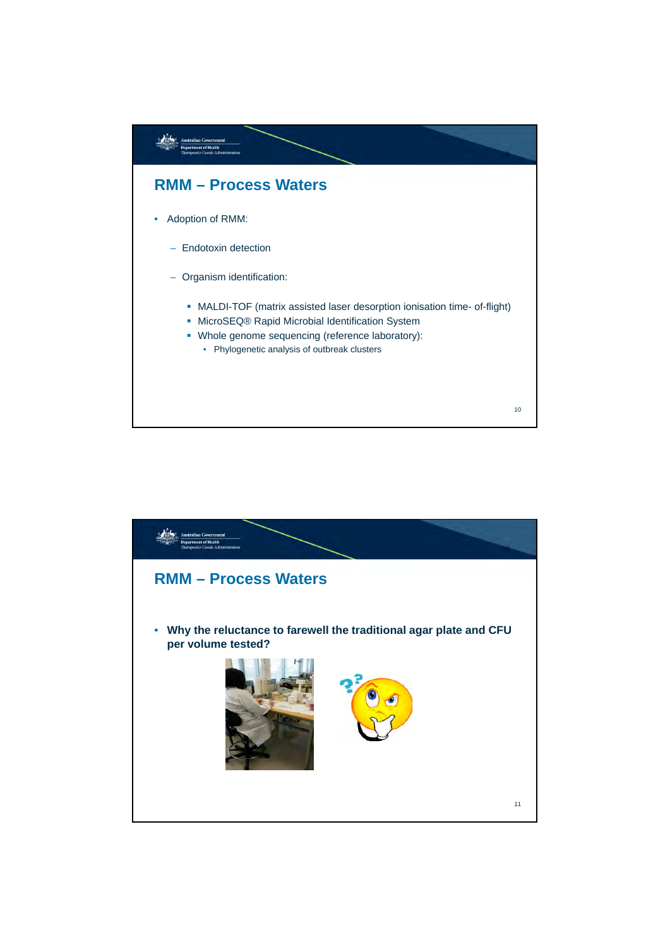

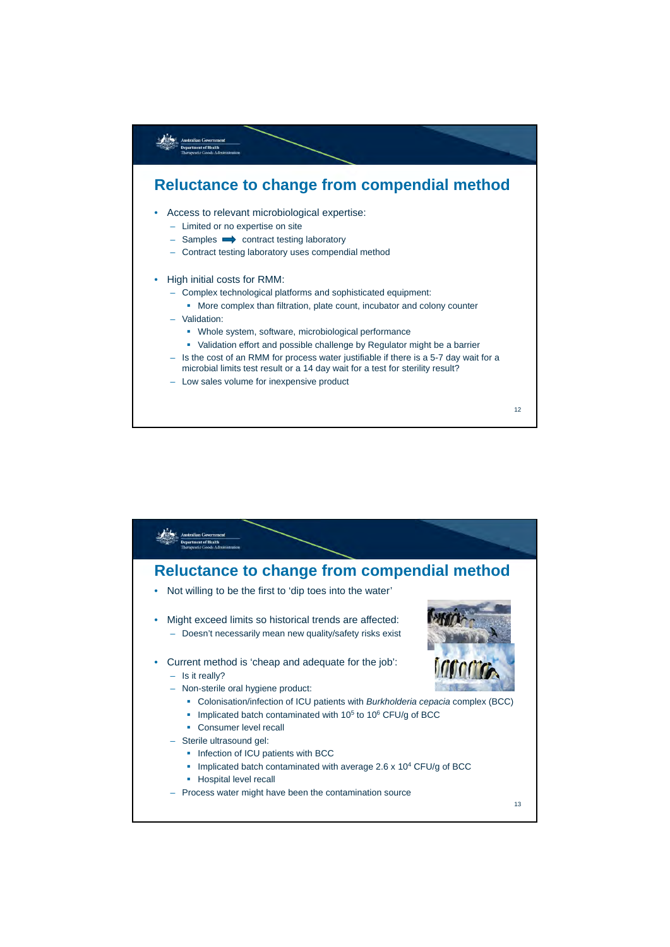